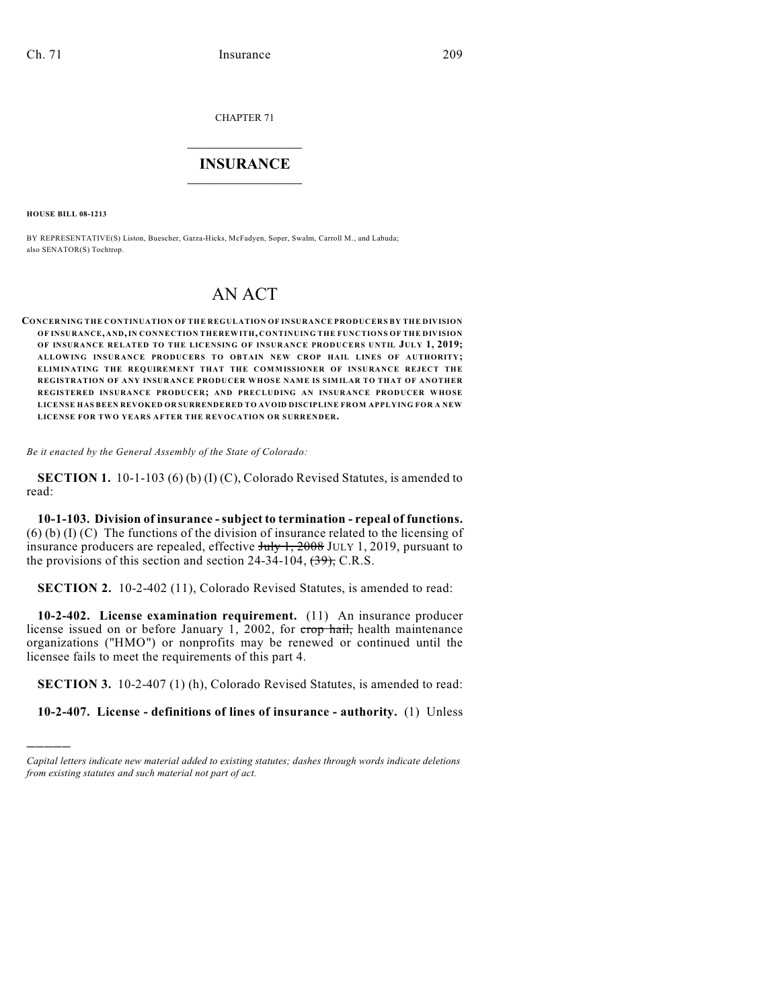CHAPTER 71

## $\mathcal{L}_\text{max}$  . The set of the set of the set of the set of the set of the set of the set of the set of the set of the set of the set of the set of the set of the set of the set of the set of the set of the set of the set **INSURANCE**  $\frac{1}{2}$  ,  $\frac{1}{2}$  ,  $\frac{1}{2}$  ,  $\frac{1}{2}$  ,  $\frac{1}{2}$  ,  $\frac{1}{2}$  ,  $\frac{1}{2}$

**HOUSE BILL 08-1213**

)))))

BY REPRESENTATIVE(S) Liston, Buescher, Garza-Hicks, McFadyen, Soper, Swalm, Carroll M., and Labuda; also SENATOR(S) Tochtrop.

## AN ACT

**CONCERNING THE CONTINUATION OF THE REGULATION OF INSURANCE PRODUCERS BY THE DIVISION OF INSURANCE, AND, IN CONNECTION THEREWITH, CONTINUING THE FUNCTIONS OF THE DIVISION OF INSURANCE RELATED TO THE LICENSING OF INSURANCE PRODUCERS UNTIL JULY 1, 2019; ALLOWING INSURANCE PRODUCERS TO OBTAIN NEW CROP HAIL LINES OF AUTHORITY; ELIMINATING THE REQUIREMENT THAT THE COMMISSIONER OF INSURANCE REJECT THE REGISTRATION OF ANY INSURANCE PRODUCER WHOSE NAME IS SIMILAR TO THAT OF ANOTHER REGISTERED INSURANCE PRODUCER; AND PRECLUDING AN INSURANCE PRODUCER WHOSE LICENSE HAS BEEN REVOKED OR SURRENDERED TO AVOID DISCIPLINE FROM APPLYING FOR A NEW LICENSE FOR TWO YEARS AFTER THE REVOCATION OR SURRENDER.**

*Be it enacted by the General Assembly of the State of Colorado:*

**SECTION 1.** 10-1-103 (6) (b) (I) (C), Colorado Revised Statutes, is amended to read:

**10-1-103. Division of insurance - subject to termination - repeal of functions.**  $(6)$  (b) (I) (C) The functions of the division of insurance related to the licensing of insurance producers are repealed, effective July 1, 2008 JULY 1, 2019, pursuant to the provisions of this section and section 24-34-104,  $\left(\frac{39}{2}\right)$ , C.R.S.

**SECTION 2.** 10-2-402 (11), Colorado Revised Statutes, is amended to read:

**10-2-402. License examination requirement.** (11) An insurance producer license issued on or before January 1, 2002, for crop hail, health maintenance organizations ("HMO") or nonprofits may be renewed or continued until the licensee fails to meet the requirements of this part 4.

**SECTION 3.** 10-2-407 (1) (h), Colorado Revised Statutes, is amended to read:

**10-2-407. License - definitions of lines of insurance - authority.** (1) Unless

*Capital letters indicate new material added to existing statutes; dashes through words indicate deletions from existing statutes and such material not part of act.*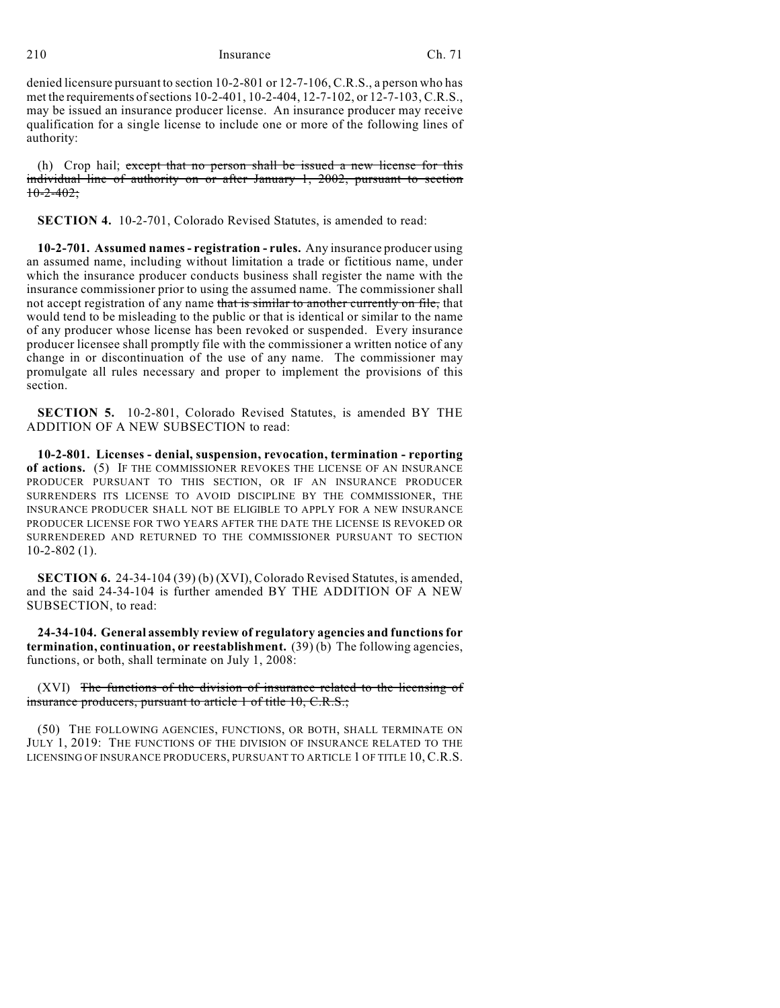210 **Insurance** Ch. 71

denied licensure pursuant to section 10-2-801 or 12-7-106, C.R.S., a person who has met the requirements of sections 10-2-401, 10-2-404, 12-7-102, or 12-7-103, C.R.S., may be issued an insurance producer license. An insurance producer may receive qualification for a single license to include one or more of the following lines of authority:

(h) Crop hail; except that no person shall be issued a new license for this individual line of authority on or after January 1, 2002, pursuant to section  $10-2-402$ ;

**SECTION 4.** 10-2-701, Colorado Revised Statutes, is amended to read:

**10-2-701. Assumed names - registration - rules.** Any insurance producer using an assumed name, including without limitation a trade or fictitious name, under which the insurance producer conducts business shall register the name with the insurance commissioner prior to using the assumed name. The commissioner shall not accept registration of any name that is similar to another currently on file, that would tend to be misleading to the public or that is identical or similar to the name of any producer whose license has been revoked or suspended. Every insurance producer licensee shall promptly file with the commissioner a written notice of any change in or discontinuation of the use of any name. The commissioner may promulgate all rules necessary and proper to implement the provisions of this section.

**SECTION 5.** 10-2-801, Colorado Revised Statutes, is amended BY THE ADDITION OF A NEW SUBSECTION to read:

**10-2-801. Licenses - denial, suspension, revocation, termination - reporting of actions.** (5) IF THE COMMISSIONER REVOKES THE LICENSE OF AN INSURANCE PRODUCER PURSUANT TO THIS SECTION, OR IF AN INSURANCE PRODUCER SURRENDERS ITS LICENSE TO AVOID DISCIPLINE BY THE COMMISSIONER, THE INSURANCE PRODUCER SHALL NOT BE ELIGIBLE TO APPLY FOR A NEW INSURANCE PRODUCER LICENSE FOR TWO YEARS AFTER THE DATE THE LICENSE IS REVOKED OR SURRENDERED AND RETURNED TO THE COMMISSIONER PURSUANT TO SECTION 10-2-802 (1).

**SECTION 6.** 24-34-104 (39) (b) (XVI), Colorado Revised Statutes, is amended, and the said 24-34-104 is further amended BY THE ADDITION OF A NEW SUBSECTION, to read:

**24-34-104. General assembly review of regulatory agencies and functions for termination, continuation, or reestablishment.** (39) (b) The following agencies, functions, or both, shall terminate on July 1, 2008:

(XVI) The functions of the division of insurance related to the licensing of insurance producers, pursuant to article 1 of title 10, C.R.S.;

(50) THE FOLLOWING AGENCIES, FUNCTIONS, OR BOTH, SHALL TERMINATE ON JULY 1, 2019: THE FUNCTIONS OF THE DIVISION OF INSURANCE RELATED TO THE LICENSING OF INSURANCE PRODUCERS, PURSUANT TO ARTICLE 1 OF TITLE 10, C.R.S.